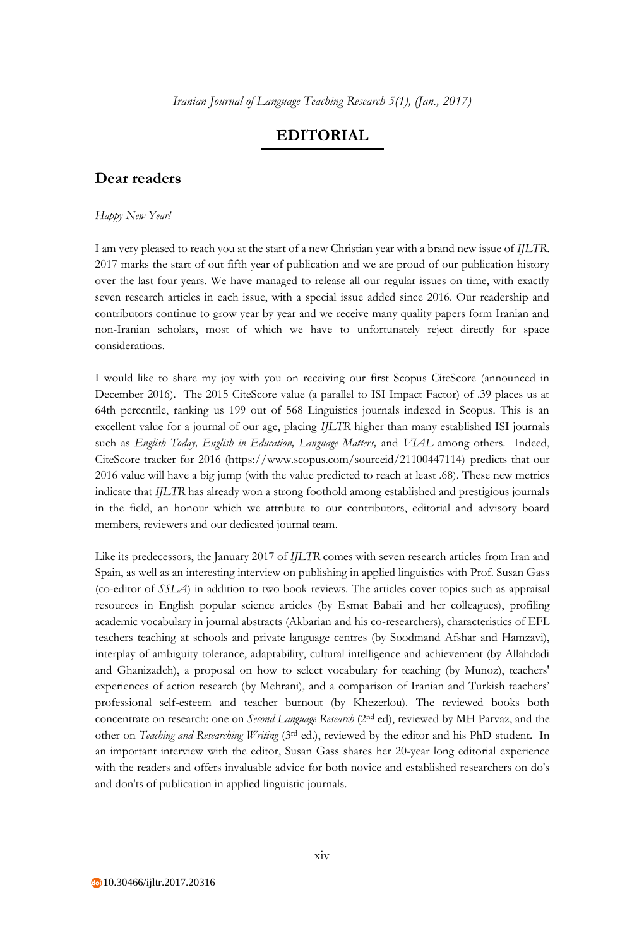## **EDITORIAL**

## **Dear readers**

## *Happy New Year!*

I am very pleased to reach you at the start of a new Christian year with a brand new issue of *IJLTR*. 2017 marks the start of out fifth year of publication and we are proud of our publication history over the last four years. We have managed to release all our regular issues on time, with exactly seven research articles in each issue, with a special issue added since 2016. Our readership and contributors continue to grow year by year and we receive many quality papers form Iranian and non-Iranian scholars, most of which we have to unfortunately reject directly for space considerations.

I would like to share my joy with you on receiving our first Scopus CiteScore (announced in December 2016). The 2015 CiteScore value (a parallel to ISI Impact Factor) of .39 places us at 64th percentile, ranking us 199 out of 568 Linguistics journals indexed in Scopus. This is an excellent value for a journal of our age, placing *IJLTR* higher than many established ISI journals such as *English Today, English in Education, Language Matters,* and *VIAL* among others. Indeed, CiteScore tracker for 2016 (https://www.scopus.com/sourceid/21100447114) predicts that our 2016 value will have a big jump (with the value predicted to reach at least .68). These new metrics indicate that *IJLTR* has already won a strong foothold among established and prestigious journals in the field, an honour which we attribute to our contributors, editorial and advisory board members, reviewers and our dedicated journal team.

Like its predecessors, the January 2017 of *IJLTR* comes with seven research articles from Iran and Spain, as well as an interesting interview on publishing in applied linguistics with Prof. Susan Gass (co-editor of *SSLA*) in addition to two book reviews. The articles cover topics such as appraisal resources in English popular science articles (by Esmat Babaii and her colleagues), profiling academic vocabulary in journal abstracts (Akbarian and his co-researchers), characteristics of EFL teachers teaching at schools and private language centres (by Soodmand Afshar and Hamzavi), interplay of ambiguity tolerance, adaptability, cultural intelligence and achievement (by Allahdadi and Ghanizadeh), a proposal on how to select vocabulary for teaching (by Munoz), teachers' experiences of action research (by Mehrani), and a comparison of Iranian and Turkish teachers' professional self-esteem and teacher burnout (by Khezerlou). The reviewed books both concentrate on research: one on *Second Language Research* (2nd ed), reviewed by MH Parvaz, and the other on *Teaching and Researching Writing* (3rd ed.), reviewed by the editor and his PhD student. In an important interview with the editor, Susan Gass shares her 20-year long editorial experience with the readers and offers invaluable advice for both novice and established researchers on do's and don'ts of publication in applied linguistic journals.